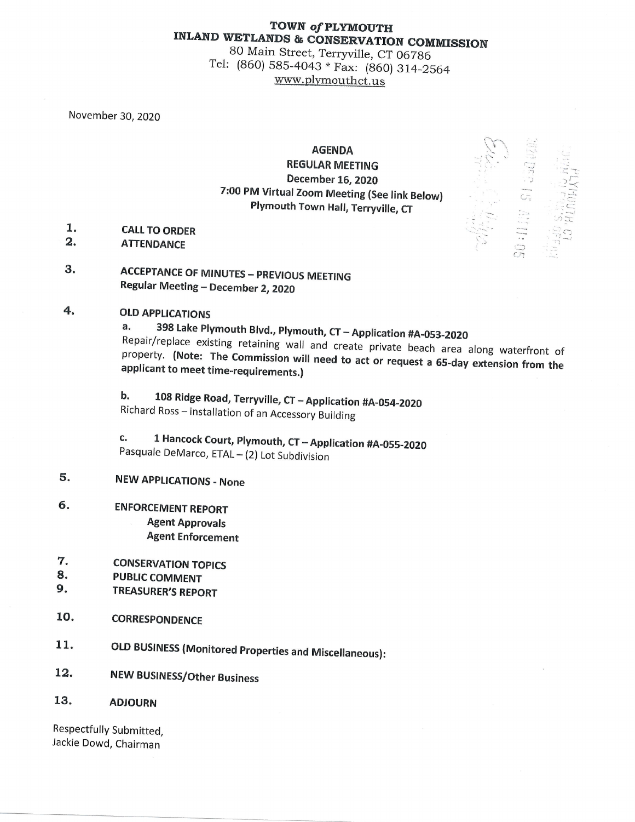# TOWN of PLYMOUTH

INLAND WETLANDS & CONSERVATION COMMISSION 80 Main Street, Terryville, CT 06786<br>Tel: (860) 585-4043 \* Fax: (860) 314-2564 www.plymouthct.us

November 30, 2020

#### AGENDA

#### **REGULAR MEETING** December 16, 2020 7:00 PM Virtual Zoom Meeting (See link Below) Plymouth Town Hall, Terryville, CT

- 1. CALL TO ORDER<br>2. ATTENDANCE
- **ATTENDANCE**
- 3. ACCEPTANCE OF MINUTES PREVIOUS MEETING Regular Meeting - December 2, 2020

### 4. OLD APPLICATIONS

a. 398 Lake Plymouth Blvd., Plymouth, CT - Application #A-053-2020 property. (Note: The Commission will need to act or request a 65-day extension from the<br>applicant to meet time-requirements.) Repair/replace existing retaining wall and create private beach area along waterfront of applicant to meet time-requirements.)

b. 108 Ridge Road, Terryville, CT - Application #A-054-2020 Richard Ross \_ installation of an Accessory Building

c. 1 Hancock Court, Plymouth, CT - Application #A-055-2020<br>Pasquale DeMarco, ETAL - (2) Lot Subdivision

## 5. NEW APPLICATIONS - None

- 6. ENFORCEMENT REPORT Agent Approvals Agent Enforcement
- 7. CONSERVATION TOPICS<br>8. PUBLIC COMMENT<br>9. TREASURER'S PEPOPT
- 
- 9. TREASURER'S REPORT
- 10. CORRESPONDENCE
- 11. OLD BUSINESS (Monitored Properties and Miscellaneous):
- 12. NEW BUSINESS/Other Business
- 13. ADJOURN

Respectfully Submitted, Jackie Dowd, Chairman

 $\mathbb{S}_{+}$  $\cdot$   $\sim$   $\sim$  $.$ ; $\subseteq$  $\int\limits_{0}^{1}\sigma_{1}^{2}$